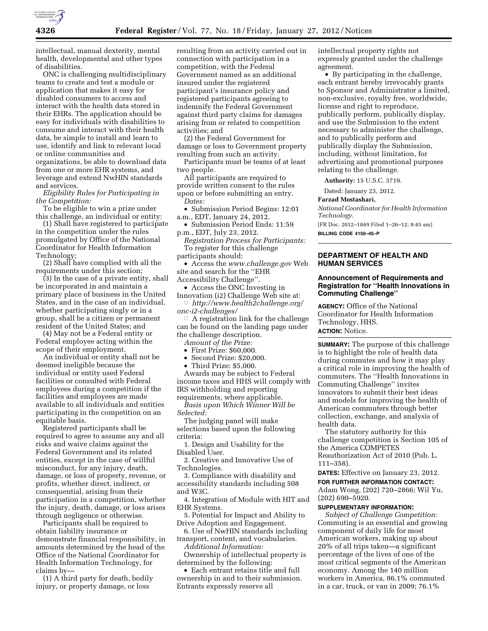

intellectual, manual dexterity, mental health, developmental and other types of disabilities.

ONC is challenging multidisciplinary teams to create and test a module or application that makes it easy for disabled consumers to access and interact with the health data stored in their EHRs. The application should be easy for individuals with disabilities to consume and interact with their health data, be simple to install and learn to use, identify and link to relevant local or online communities and organizations, be able to download data from one or more EHR systems, and leverage and extend NwHIN standards and services.

*Eligibility Rules for Participating in the Competition:* 

To be eligible to win a prize under this challenge, an individual or entity:

(1) Shall have registered to participate in the competition under the rules promulgated by Office of the National Coordinator for Health Information Technology;

(2) Shall have complied with all the requirements under this section;

(3) In the case of a private entity, shall be incorporated in and maintain a primary place of business in the United States, and in the case of an individual, whether participating singly or in a group, shall be a citizen or permanent resident of the United States; and

(4) May not be a Federal entity or Federal employee acting within the scope of their employment.

An individual or entity shall not be deemed ineligible because the individual or entity used Federal facilities or consulted with Federal employees during a competition if the facilities and employees are made available to all individuals and entities participating in the competition on an equitable basis.

Registered participants shall be required to agree to assume any and all risks and waive claims against the Federal Government and its related entities, except in the case of willful misconduct, for any injury, death, damage, or loss of property, revenue, or profits, whether direct, indirect, or consequential, arising from their participation in a competition, whether the injury, death, damage, or loss arises through negligence or otherwise.

Participants shall be required to obtain liability insurance or demonstrate financial responsibility, in amounts determined by the head of the Office of the National Coordinator for Health Information Technology, for claims by—

(1) A third party for death, bodily injury, or property damage, or loss

resulting from an activity carried out in connection with participation in a competition, with the Federal Government named as an additional insured under the registered participant's insurance policy and registered participants agreeing to indemnify the Federal Government against third party claims for damages arising from or related to competition activities; and

(2) the Federal Government for damage or loss to Government property resulting from such an activity.

Participants must be teams of at least two people.

All participants are required to provide written consent to the rules upon or before submitting an entry. *Dates:* 

• Submission Period Begins: 12:01 a.m., EDT, January 24, 2012.

• Submission Period Ends: 11:59 p.m., EDT, July 23, 2012.

*Registration Process for Participants:*  To register for this challenge participants should:

• Access the *[www.challenge.gov](http://www.challenge.gov)* Web

site and search for the ''EHR Accessibility Challenge''.

• Access the ONC Investing in Innovation (i2) Challenge Web site at:

Æ *[http://www.health2challenge.org/](http://www.health2challenge.org/onc-i2-challenges/)  [onc-i2-challenges/](http://www.health2challenge.org/onc-i2-challenges/)* 

 $\circ$  A registration link for the challenge can be found on the landing page under the challenge description.

*Amount of the Prize:* 

• First Prize: \$60,000.

• Second Prize: \$20,000.

• Third Prize: \$5,000. Awards may be subject to Federal income taxes and HHS will comply with

IRS withholding and reporting requirements, where applicable.

*Basis upon Which Winner Will be Selected:* 

The judging panel will make selections based upon the following criteria:

1. Design and Usability for the Disabled User.

2. Creative and Innovative Use of Technologies.

3. Compliance with disability and accessibility standards including 508 and W3C.

4. Integration of Module with HIT and EHR Systems.

5. Potential for Impact and Ability to Drive Adoption and Engagement.

6. Use of NwHIN standards including transport, content, and vocabularies. *Additional Information:* 

Ownership of intellectual property is determined by the following:

• Each entrant retains title and full ownership in and to their submission. Entrants expressly reserve all

intellectual property rights not expressly granted under the challenge agreement.

• By participating in the challenge, each entrant hereby irrevocably grants to Sponsor and Administrator a limited, non-exclusive, royalty free, worldwide, license and right to reproduce, publically perform, publically display, and use the Submission to the extent necessary to administer the challenge, and to publically perform and publically display the Submission, including, without limitation, for advertising and promotional purposes relating to the challenge.

**Authority:** 15 U.S.C. 3719.

Dated: January 23, 2012.

### **Farzad Mostashari,**

*National Coordinator for Health Information Technology.* 

[FR Doc. 2012–1849 Filed 1–26–12; 8:45 am] **BILLING CODE 4150–45–P** 

**DEPARTMENT OF HEALTH AND HUMAN SERVICES** 

## **Announcement of Requirements and Registration for ''Health Innovations in Commuting Challenge''**

**AGENCY:** Office of the National Coordinator for Health Information Technology, HHS. **ACTION:** Notice.

**SUMMARY:** The purpose of this challenge is to highlight the role of health data during commutes and how it may play a critical role in improving the health of commuters. The ''Health Innovations in Commuting Challenge'' invites innovators to submit their best ideas and models for improving the health of American commuters through better collection, exchange, and analysis of health data.

The statutory authority for this challenge competition is Section 105 of the America COMPETES Reauthorization Act of 2010 (Pub. L. 111–358).

**DATES:** Effective on January 23, 2012.

**FOR FURTHER INFORMATION CONTACT:**  Adam Wong, (202) 720–2866; Wil Yu, (202) 690–5920.

#### **SUPPLEMENTARY INFORMATION:**

*Subject of Challenge Competition:*  Commuting is an essential and growing component of daily life for most American workers, making up about 20% of all trips taken—a significant percentage of the lives of one of the most critical segments of the American economy. Among the 140 million workers in America, 86.1% commuted in a car, truck, or van in 2009; 76.1%